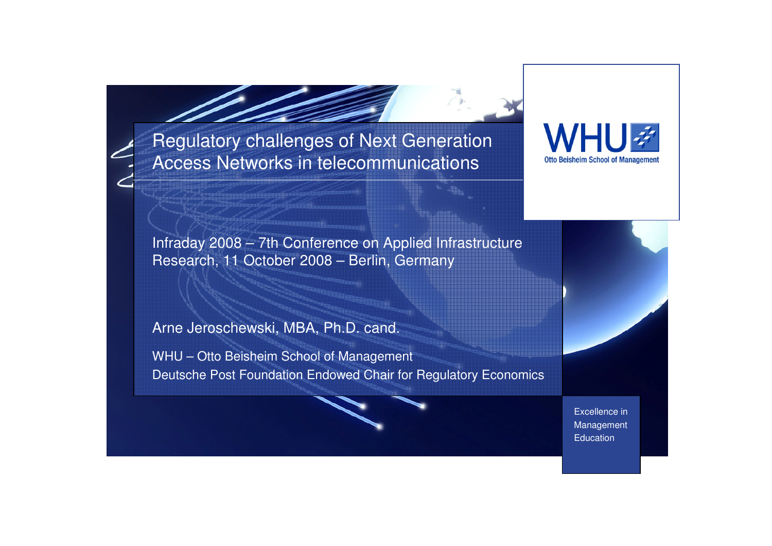Regulatory challenges of Next Generation Access Networks in telecommunications



Infraday 2008 – 7th Conference on Applied Infrastructure Research, 11 October 2008 – Berlin, Germany

Arne Jeroschewski, MBA, Ph.D. cand.

WHU – Otto Beisheim School of Management Deutsche Post Foundation Endowed Chair for Regulatory Economics

> Excellence in Management **Education**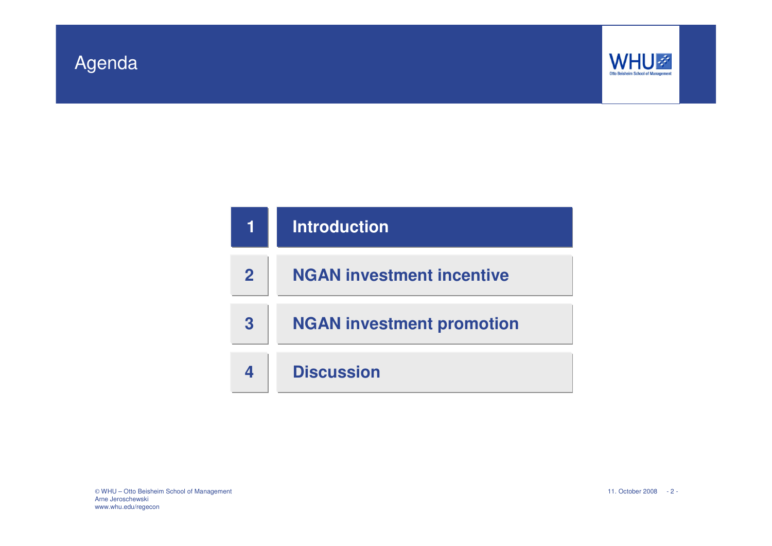# Agenda



| 1            | <b>Introduction</b>              |
|--------------|----------------------------------|
| $\mathbf{2}$ | <b>NGAN investment incentive</b> |
| 3            | <b>NGAN investment promotion</b> |
| 4            | <b>Discussion</b>                |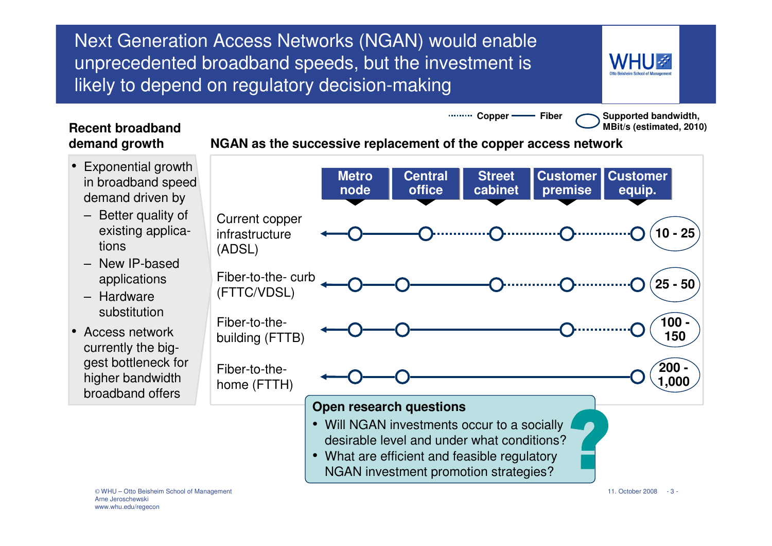Next Generation Access Networks (NGAN) would enable unprecedented broadband speeds, but the investment is likely to depend on regulatory decision-making

> **CopperFiber**

 **Supported bandwidth, MBit/s (estimated, 2010)**

#### **Recent broadband demand growth**

**NGAN as the successive replacement of the copper access network**



© WHU – Otto Beisheim School of Management 11. October 2008 - <sup>3</sup> - Arne Jeroschewskiwww.whu.edu/regecon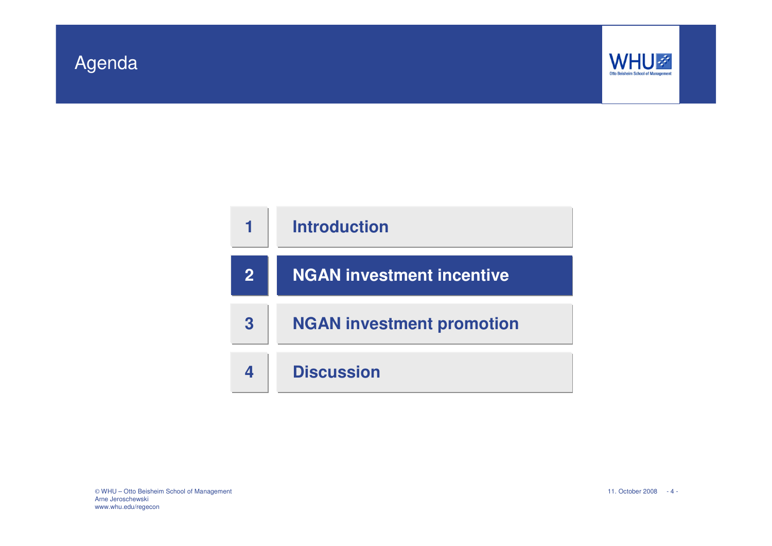# Agenda



| 1              | <b>Introduction</b>              |
|----------------|----------------------------------|
| $\overline{2}$ | <b>NGAN investment incentive</b> |
| 3              | <b>NGAN investment promotion</b> |
|                | <b>Discussion</b>                |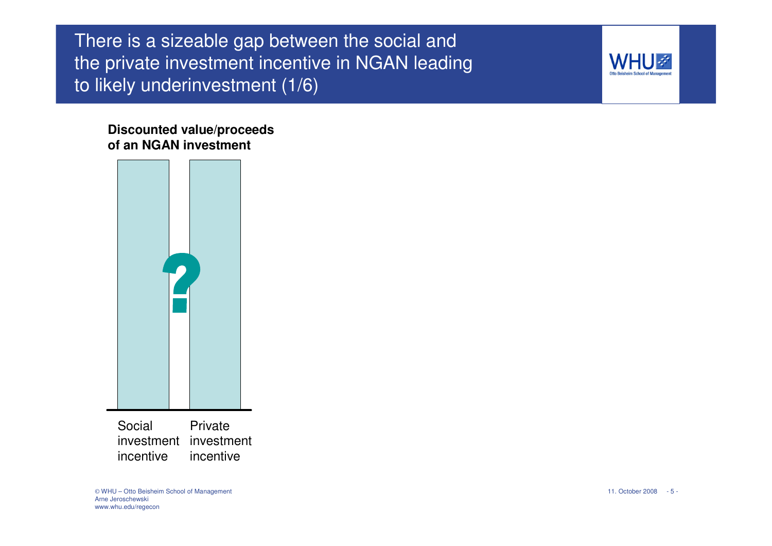There is a sizeable gap between the social and the private investment incentive in NGAN leading to likely underinvestment (1/6)

**Discounted value/proceeds of an NGAN investment**



investment investment incentiveincentive

© WHU – Otto Beisheim School of Management 11. October 2008 - <sup>5</sup> - Arne Jeroschewskiwww.whu.edu/regecon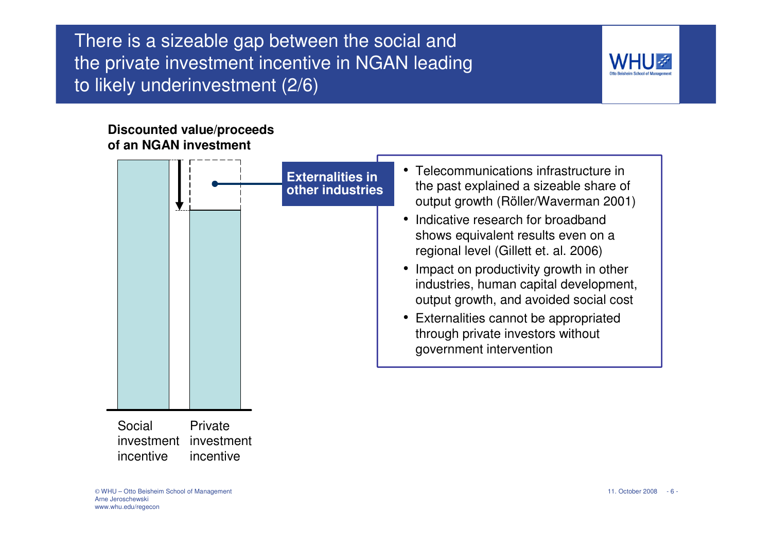There is a sizeable gap between the social and the private investment incentive in NGAN leading to likely underinvestment (2/6)



#### **Discounted value/proceeds of an NGAN investment**

|                                   |                                    | <b>Externalities in</b><br>other industries | • Telecommunications infrastructure in<br>the past explained a sizeable share of<br>output growth (Röller/Waverman 2001)<br>Indicative research for broadband<br>$\bullet$<br>shows equivalent results even on a<br>regional level (Gillett et. al. 2006)<br>• Impact on productivity growth in other<br>industries, human capital development,<br>output growth, and avoided social cost<br>• Externalities cannot be appropriated<br>through private investors without<br>government intervention |
|-----------------------------------|------------------------------------|---------------------------------------------|-----------------------------------------------------------------------------------------------------------------------------------------------------------------------------------------------------------------------------------------------------------------------------------------------------------------------------------------------------------------------------------------------------------------------------------------------------------------------------------------------------|
| Social<br>investment<br>incentive | Private<br>investment<br>incentive |                                             |                                                                                                                                                                                                                                                                                                                                                                                                                                                                                                     |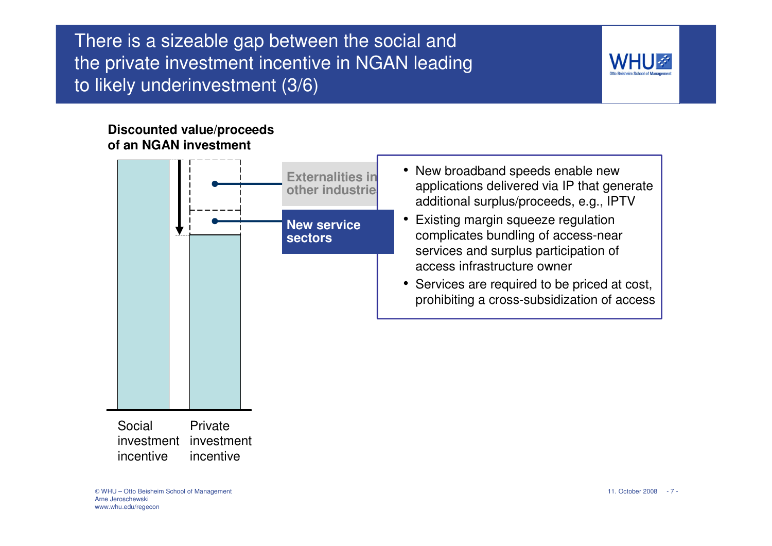There is a sizeable gap between the social and the private investment incentive in NGAN leading to likely underinvestment (3/6)

#### **Discounted value/proceeds of an NGAN investment**

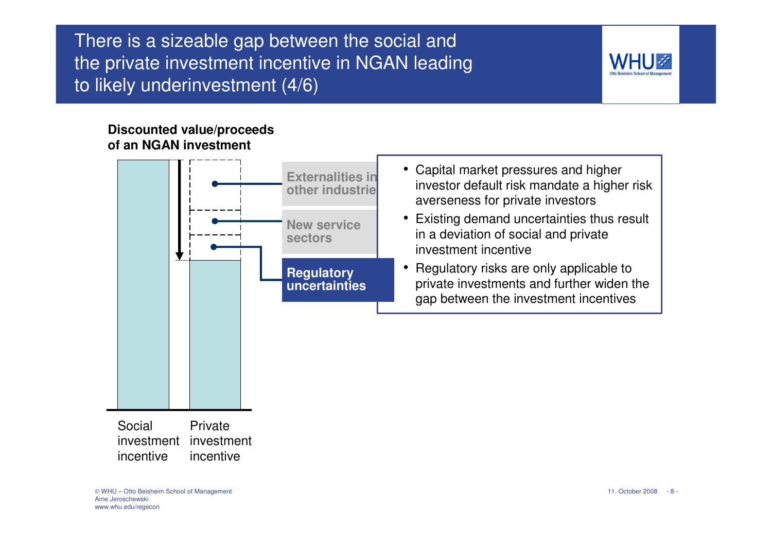There is a sizeable gap between the social and the private investment incentive in NGAN leading to likely underinvestment (4/6)

#### **Discounted value/proceeds of an NGAN investment**

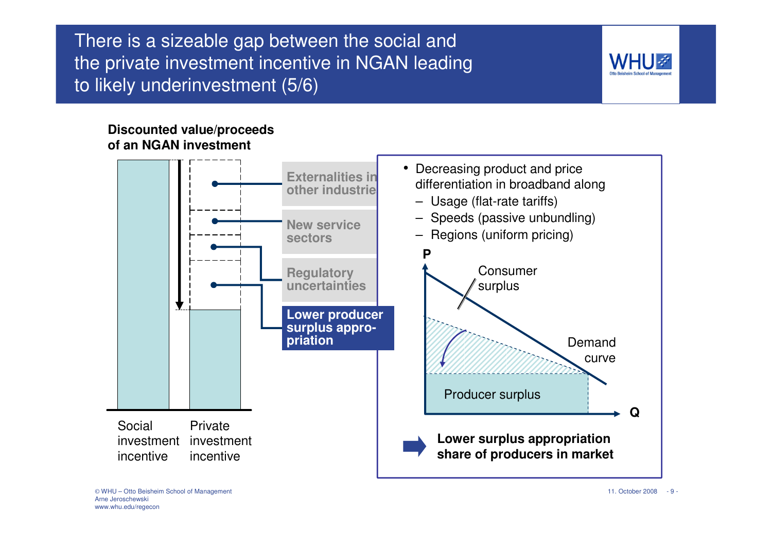There is a sizeable gap between the social and the private investment incentive in NGAN leading to likely underinvestment (5/6)

#### **Discounted value/proceeds of an NGAN investment**



© WHU – Otto Beisheim School of Management 11. October 2008 - <sup>9</sup> - Arne Jeroschewskiwww.whu.edu/regecon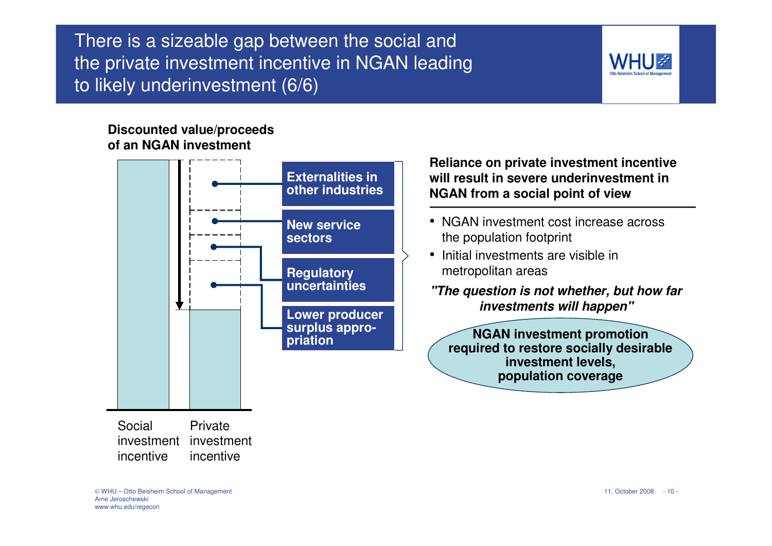There is a sizeable gap between the social and the private investment incentive in NGAN leading to likely underinvestment (6/6)

#### **Discounted value/proceeds of an NGAN investment**



**Reliance on private investment incentive will result in severe underinvestment in NGAN from a social point of view**

- NGAN investment cost increase across the population footprint
- Initial investments are visible in metropolitan areas
- **"The question is not whether, but how far investments will happen"**

**NGAN investment promotion required to restore socially desirable investment levels, population coverage**

incentive

incentive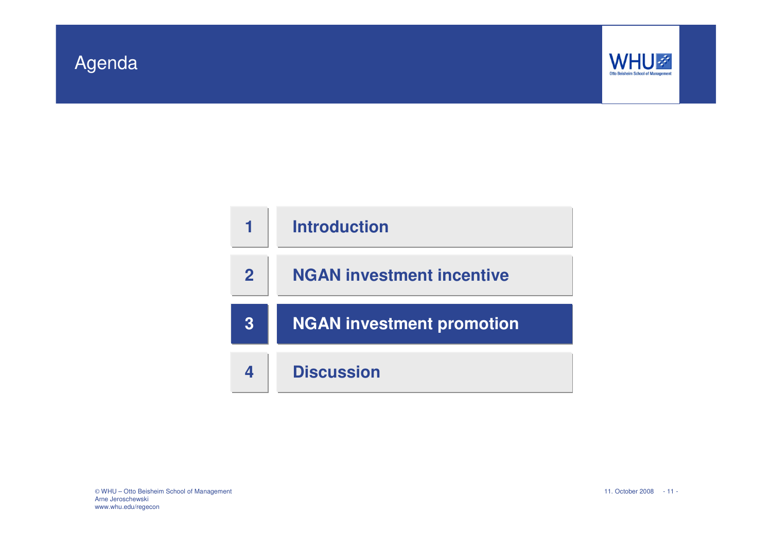# Agenda



| 1              | <b>Introduction</b>              |
|----------------|----------------------------------|
| 2 <sup>1</sup> | <b>NGAN investment incentive</b> |
| $\overline{3}$ | <b>NGAN investment promotion</b> |
| Δ              | <b>Discussion</b>                |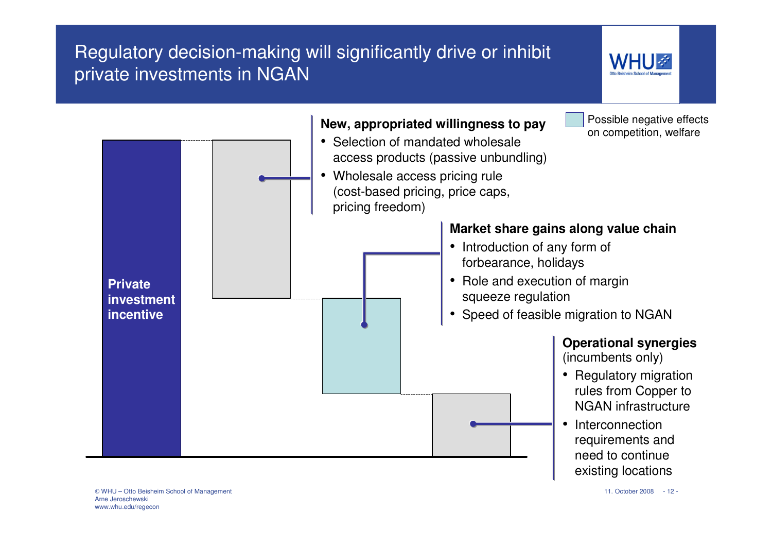## Regulatory decision-making will significantly drive or inhibit private investments in NGAN

**New, appropriated willingness to pay**• Selection of mandated wholesale access products (passive unbundling)• Wholesale access pricing rule (cost-based pricing, price caps, pricing freedom)**Market share gains along value chain**• Introduction of any form of forbearance, holidays• Role and execution of margin squeeze regulation • Speed of feasible migration to NGAN**Operational synergies**(incumbents only)• Regulatory migration rules from Copper to NGAN infrastructure• Interconnection requirements and need to continue Possible negative effects on competition, welfare**Private investment incentive**

© WHU – Otto Beisheim School of Management 11. October 2008 - <sup>12</sup> - Arne Jeroschewskiwww.whu.edu/regecon

existing locations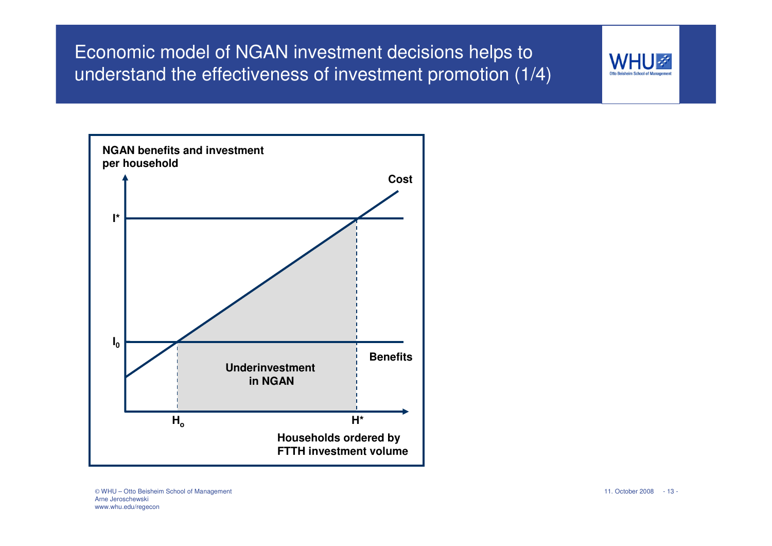### Economic model of NGAN investment decisions helps to understand the effectiveness of investment promotion (1/4)



© WHU – Otto Beisheim School of Management 11. October 2008 - <sup>13</sup> - Arne Jeroschewskiwww.whu.edu/regecon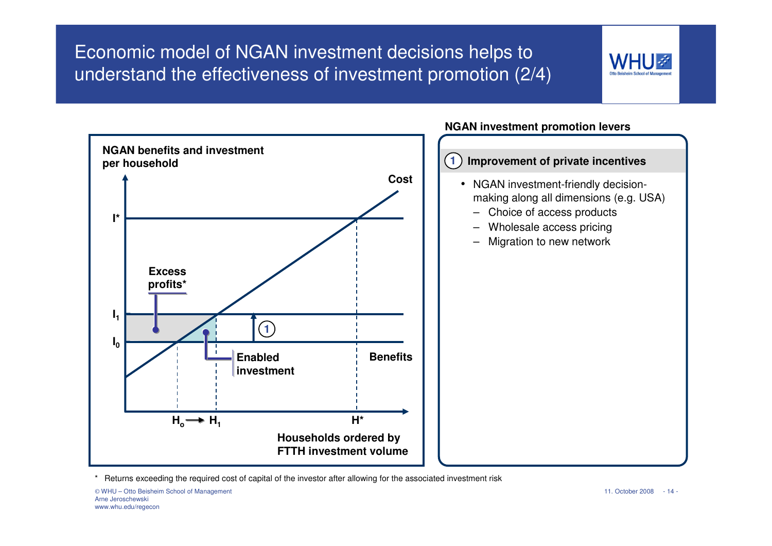### Economic model of NGAN investment decisions helps to understand the effectiveness of investment promotion (2/4)



**NGAN investment promotion levers**

\* Returns exceeding the required cost of capital of the investor after allowing for the associated investment risk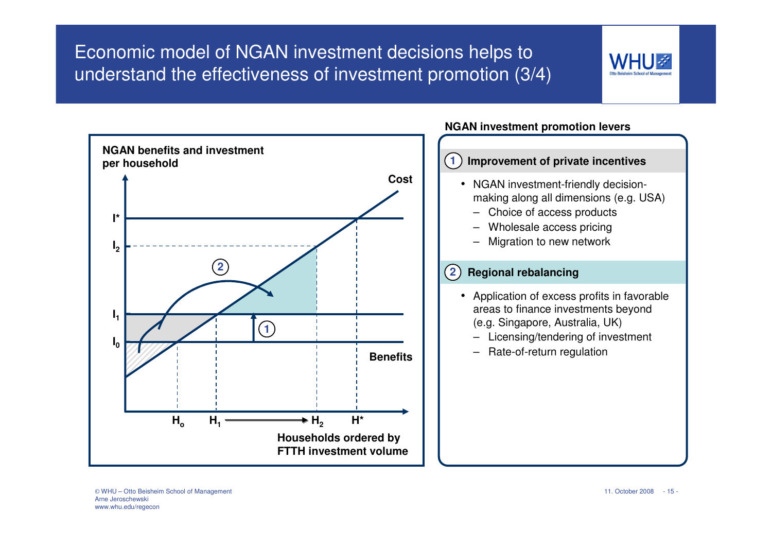### Economic model of NGAN investment decisions helps to understand the effectiveness of investment promotion (3/4)



**NGAN investment promotion levers**

© WHU – Otto Beisheim School of Management 11. October 2008 - <sup>15</sup> - Arne Jeroschewskiwww.whu.edu/regecon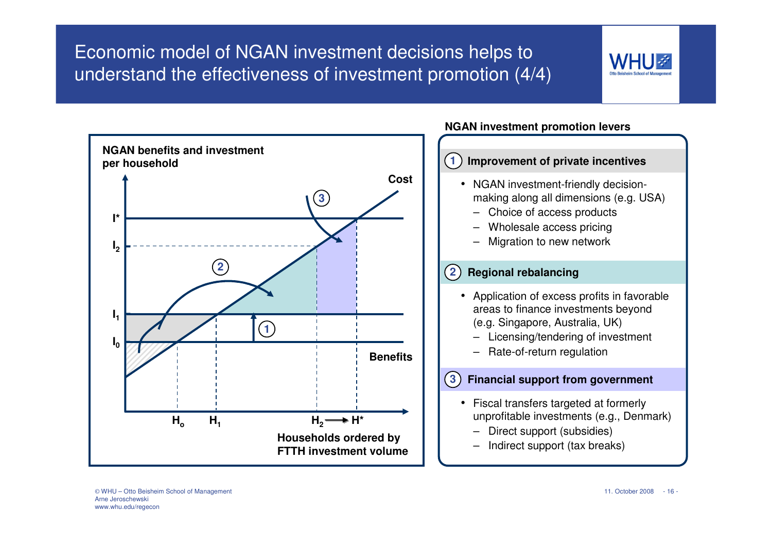### Economic model of NGAN investment decisions helps to understand the effectiveness of investment promotion (4/4)



© WHU – Otto Beisheim School of Management 1999 - 16 - 1999 - 16 - 1999 - 16 - 1999 - 16 - 1999 - 16 - 1999 - 16 - 1999 - 16 - 1999 - 16 - 1999 - 16 - 1999 - 16 - 1999 - 16 - 1999 - 16 - 1999 - 1999 - 1999 - 1999 - 1999 -Arne Jeroschewskiwww.whu.edu/regecon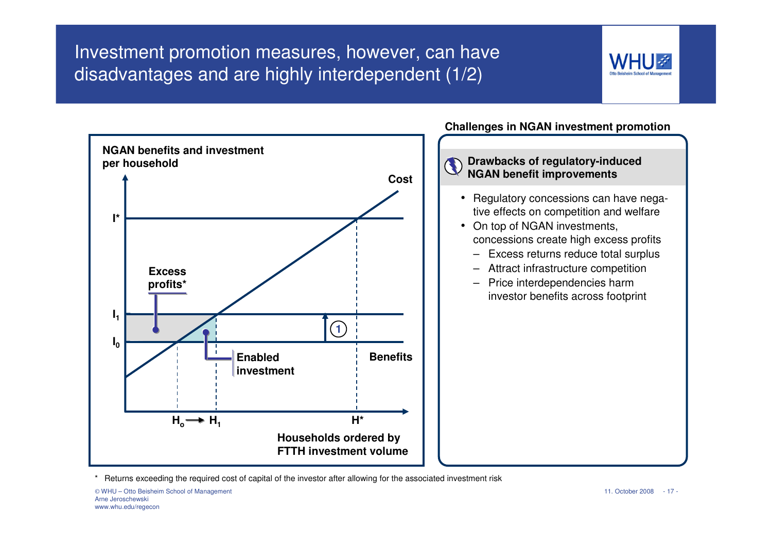### Investment promotion measures, however, can have disadvantages and are highly interdependent (1/2)





\* Returns exceeding the required cost of capital of the investor after allowing for the associated investment risk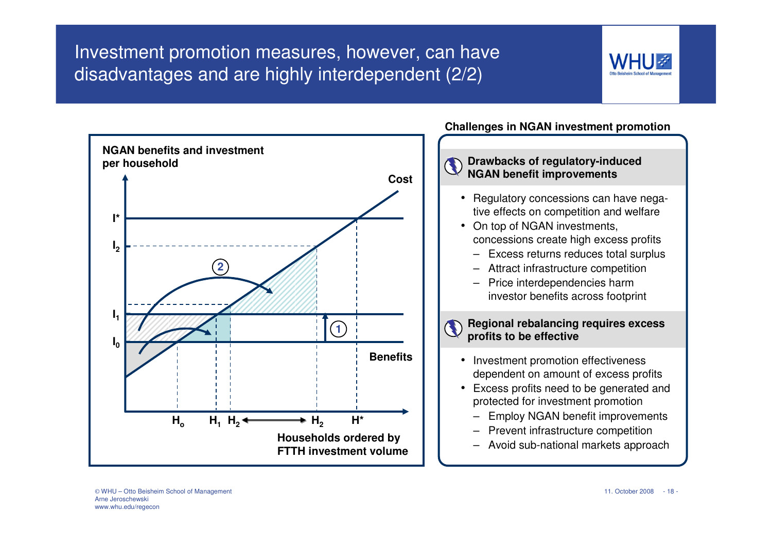### Investment promotion measures, however, can have disadvantages and are highly interdependent (2/2)

![](_page_17_Picture_1.jpeg)

![](_page_17_Figure_2.jpeg)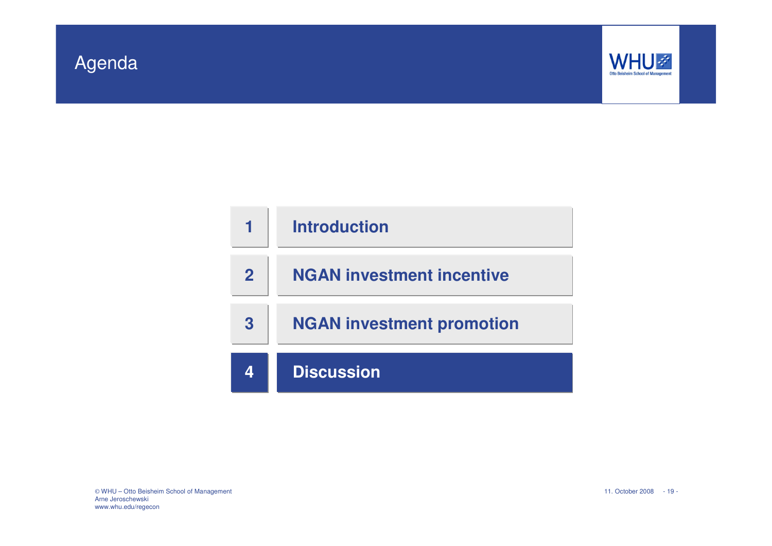# Agenda

![](_page_18_Picture_1.jpeg)

|                | <b>Introduction</b>              |
|----------------|----------------------------------|
| $\overline{2}$ | <b>NGAN investment incentive</b> |
| 3              | <b>NGAN investment promotion</b> |
|                | <b>Discussion</b>                |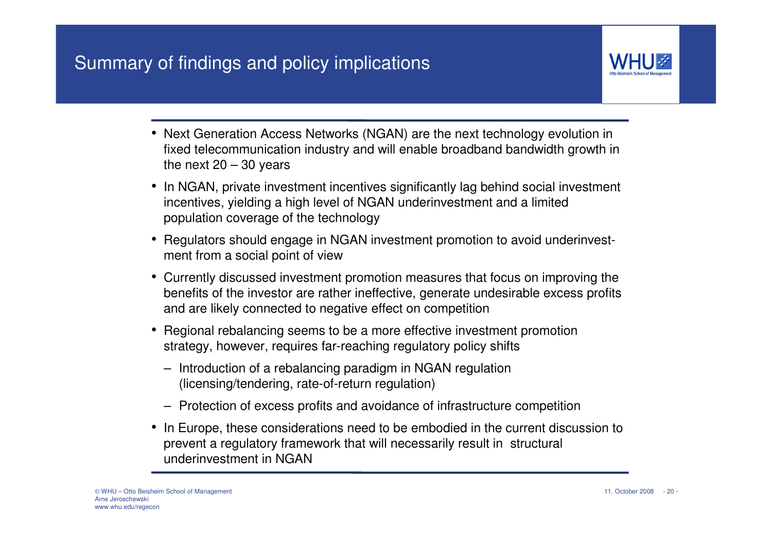## Summary of findings and policy implications

![](_page_19_Picture_1.jpeg)

- Next Generation Access Networks (NGAN) are the next technology evolution in fixed telecommunication industry and will enable broadband bandwidth growth in the next  $20 - 30$  years
- In NGAN, private investment incentives significantly lag behind social investment incentives, yielding a high level of NGAN underinvestment and a limited population coverage of the technology
- Regulators should engage in NGAN investment promotion to avoid underinvestment from a social point of view
- Currently discussed investment promotion measures that focus on improving the benefits of the investor are rather ineffective, generate undesirable excess profits and are likely connected to negative effect on competition
- Regional rebalancing seems to be a more effective investment promotion strategy, however, requires far-reaching regulatory policy shifts
	- Introduction of a rebalancing paradigm in NGAN regulation (licensing/tendering, rate-of-return regulation)
	- Protection of excess profits and avoidance of infrastructure competition
- In Europe, these considerations need to be embodied in the current discussion to prevent a regulatory framework that will necessarily result in structural underinvestment in NGAN